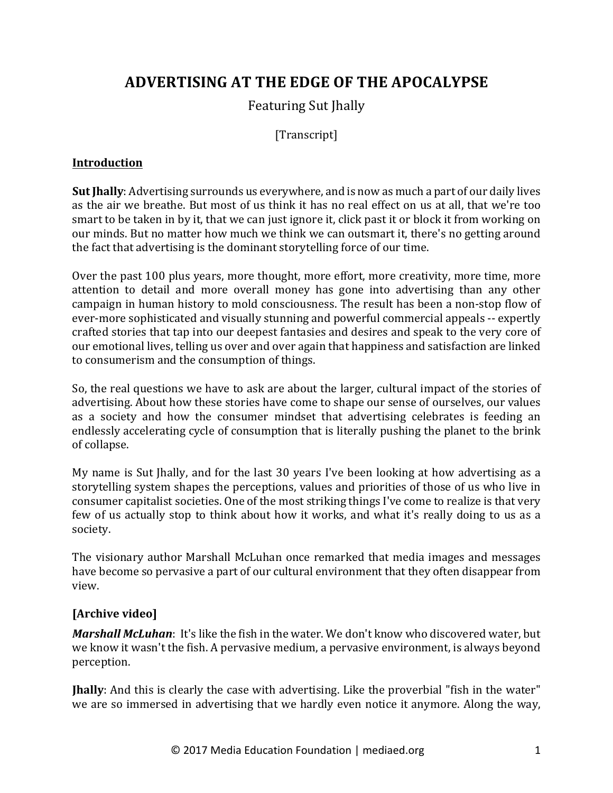# **ADVERTISING AT THE EDGE OF THE APOCALYPSE**

# Featuring Sut Jhally

# [Transcript]

# **Introduction**

**Sut Jhally**: Advertising surrounds us everywhere, and is now as much a part of our daily lives as the air we breathe. But most of us think it has no real effect on us at all, that we're too smart to be taken in by it, that we can just ignore it, click past it or block it from working on our minds. But no matter how much we think we can outsmart it, there's no getting around the fact that advertising is the dominant storytelling force of our time.

Over the past 100 plus years, more thought, more effort, more creativity, more time, more attention to detail and more overall money has gone into advertising than any other campaign in human history to mold consciousness. The result has been a non-stop flow of ever-more sophisticated and visually stunning and powerful commercial appeals -- expertly crafted stories that tap into our deepest fantasies and desires and speak to the very core of our emotional lives, telling us over and over again that happiness and satisfaction are linked to consumerism and the consumption of things.

So, the real questions we have to ask are about the larger, cultural impact of the stories of advertising. About how these stories have come to shape our sense of ourselves, our values as a society and how the consumer mindset that advertising celebrates is feeding an endlessly accelerating cycle of consumption that is literally pushing the planet to the brink of collapse.

My name is Sut Jhally, and for the last 30 years I've been looking at how advertising as a storytelling system shapes the perceptions, values and priorities of those of us who live in consumer capitalist societies. One of the most striking things I've come to realize is that very few of us actually stop to think about how it works, and what it's really doing to us as a society.

The visionary author Marshall McLuhan once remarked that media images and messages have become so pervasive a part of our cultural environment that they often disappear from view.

# [Archive video]

*Marshall McLuhan*: It's like the fish in the water. We don't know who discovered water, but we know it wasn't the fish. A pervasive medium, a pervasive environment, is always beyond perception.

**Jhally**: And this is clearly the case with advertising. Like the proverbial "fish in the water" we are so immersed in advertising that we hardly even notice it anymore. Along the way,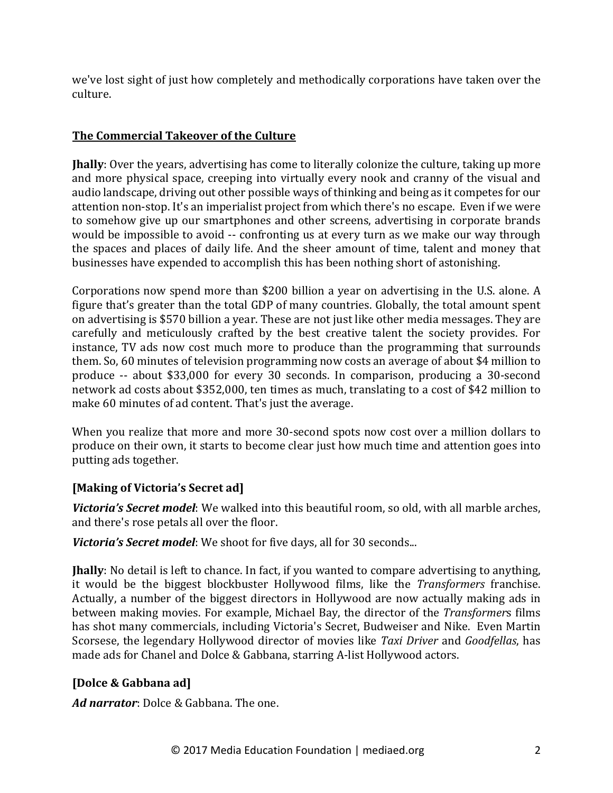we've lost sight of just how completely and methodically corporations have taken over the culture.

# **The Commercial Takeover of the Culture**

**Jhally**: Over the years, advertising has come to literally colonize the culture, taking up more and more physical space, creeping into virtually every nook and cranny of the visual and audio landscape, driving out other possible ways of thinking and being as it competes for our attention non-stop. It's an imperialist project from which there's no escape. Even if we were to somehow give up our smartphones and other screens, advertising in corporate brands would be impossible to avoid -- confronting us at every turn as we make our way through the spaces and places of daily life. And the sheer amount of time, talent and money that businesses have expended to accomplish this has been nothing short of astonishing.

Corporations now spend more than \$200 billion a year on advertising in the U.S. alone. A figure that's greater than the total GDP of many countries. Globally, the total amount spent on advertising is \$570 billion a year. These are not just like other media messages. They are carefully and meticulously crafted by the best creative talent the society provides. For instance, TV ads now cost much more to produce than the programming that surrounds them. So, 60 minutes of television programming now costs an average of about \$4 million to produce -- about \$33,000 for every 30 seconds. In comparison, producing a 30-second network ad costs about \$352,000, ten times as much, translating to a cost of \$42 million to make 60 minutes of ad content. That's just the average.

When you realize that more and more 30-second spots now cost over a million dollars to produce on their own, it starts to become clear just how much time and attention goes into putting ads together.

# [Making of Victoria's Secret ad]

**Victoria's Secret model**: We walked into this beautiful room, so old, with all marble arches, and there's rose petals all over the floor.

**Victoria's Secret model**: We shoot for five days, all for 30 seconds...

**Jhally**: No detail is left to chance. In fact, if you wanted to compare advertising to anything, it would be the biggest blockbuster Hollywood films, like the *Transformers* franchise. Actually, a number of the biggest directors in Hollywood are now actually making ads in between making movies. For example, Michael Bay, the director of the *Transformers* films has shot many commercials, including Victoria's Secret, Budweiser and Nike. Even Martin Scorsese, the legendary Hollywood director of movies like *Taxi Driver* and *Goodfellas*, has made ads for Chanel and Dolce & Gabbana, starring A-list Hollywood actors.

# **[Dolce & Gabbana ad]**

Ad narrator: Dolce & Gabbana. The one.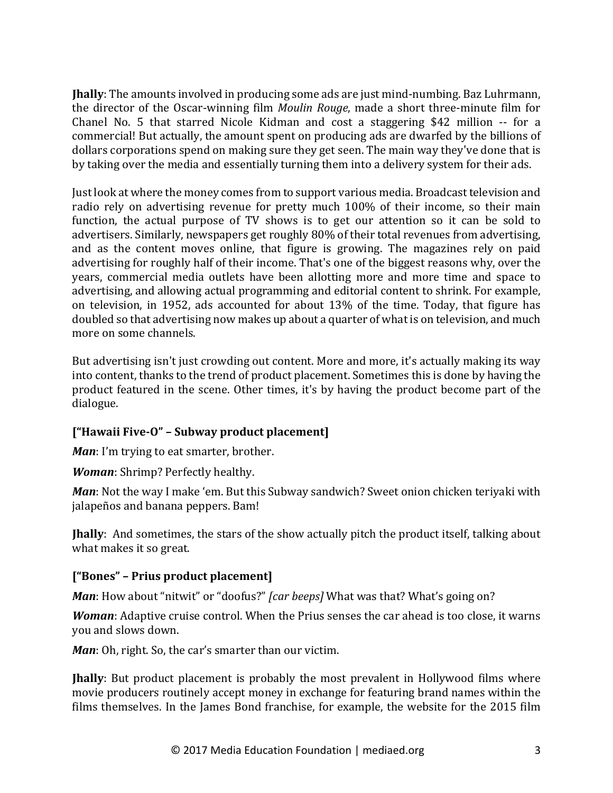**Jhally**: The amounts involved in producing some ads are just mind-numbing. Baz Luhrmann, the director of the Oscar-winning film *Moulin Rouge*, made a short three-minute film for Chanel No. 5 that starred Nicole Kidman and cost a staggering \$42 million -- for a commercial! But actually, the amount spent on producing ads are dwarfed by the billions of dollars corporations spend on making sure they get seen. The main way they've done that is by taking over the media and essentially turning them into a delivery system for their ads.

Just look at where the money comes from to support various media. Broadcast television and radio rely on advertising revenue for pretty much 100% of their income, so their main function, the actual purpose of TV shows is to get our attention so it can be sold to advertisers. Similarly, newspapers get roughly 80% of their total revenues from advertising. and as the content moves online, that figure is growing. The magazines rely on paid advertising for roughly half of their income. That's one of the biggest reasons why, over the years, commercial media outlets have been allotting more and more time and space to advertising, and allowing actual programming and editorial content to shrink. For example, on television, in 1952, ads accounted for about 13% of the time. Today, that figure has doubled so that advertising now makes up about a quarter of what is on television, and much more on some channels.

But advertising isn't just crowding out content. More and more, it's actually making its way into content, thanks to the trend of product placement. Sometimes this is done by having the product featured in the scene. Other times, it's by having the product become part of the dialogue.

# **["Hawaii Five-O" – Subway product placement]**

*Man*: I'm trying to eat smarter, brother.

*Woman:* Shrimp? Perfectly healthy.

*Man*: Not the way I make 'em. But this Subway sandwich? Sweet onion chicken teriyaki with jalapeños and banana peppers. Bam!

**Jhally**: And sometimes, the stars of the show actually pitch the product itself, talking about what makes it so great.

# **["Bones" – Prius product placement]**

*Man*: How about "nitwit" or "doofus?" *[car beeps]* What was that? What's going on?

*Woman*: Adaptive cruise control. When the Prius senses the car ahead is too close, it warns you and slows down.

*Man*: Oh, right. So, the car's smarter than our victim.

**Ihally**: But product placement is probably the most prevalent in Hollywood films where movie producers routinely accept money in exchange for featuring brand names within the films themselves. In the James Bond franchise, for example, the website for the 2015 film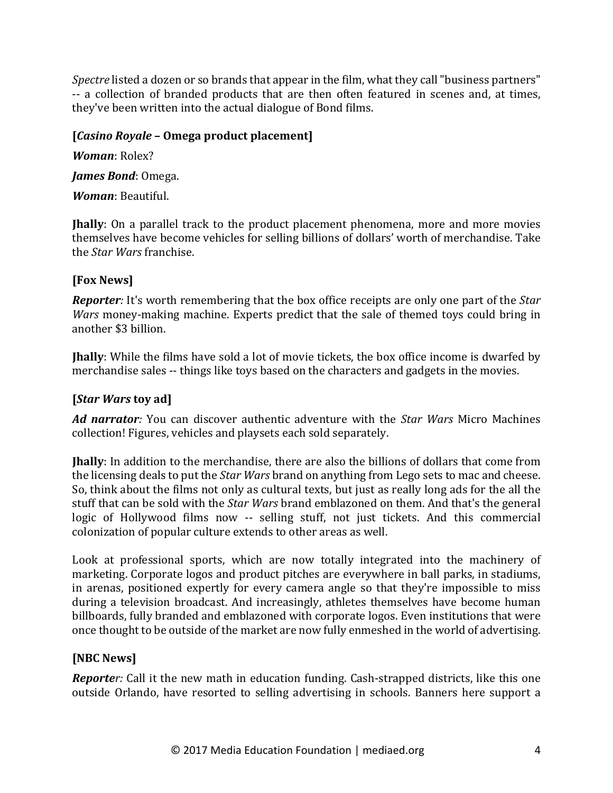*Spectre* listed a dozen or so brands that appear in the film, what they call "business partners" -- a collection of branded products that are then often featured in scenes and, at times, they've been written into the actual dialogue of Bond films.

#### **[***Casino Royale* **– Omega product placement]**

*Woman*: Rolex? James Bond: Omega.

*Woman*: Beautiful.

**Jhally**: On a parallel track to the product placement phenomena, more and more movies themselves have become vehicles for selling billions of dollars' worth of merchandise. Take the *Star Wars* franchise.

# **[Fox News]**

*Reporter:* It's worth remembering that the box office receipts are only one part of the *Star Wars* money-making machine. Experts predict that the sale of themed toys could bring in another \$3 billion.

**Ihally**: While the films have sold a lot of movie tickets, the box office income is dwarfed by merchandise sales -- things like toys based on the characters and gadgets in the movies.

# **[***Star Wars* **toy ad]**

Ad narrator: You can discover authentic adventure with the *Star Wars* Micro Machines collection! Figures, vehicles and playsets each sold separately.

**Jhally**: In addition to the merchandise, there are also the billions of dollars that come from the licensing deals to put the *Star Wars* brand on anything from Lego sets to mac and cheese. So, think about the films not only as cultural texts, but just as really long ads for the all the stuff that can be sold with the *Star Wars* brand emblazoned on them. And that's the general logic of Hollywood films now -- selling stuff, not just tickets. And this commercial colonization of popular culture extends to other areas as well.

Look at professional sports, which are now totally integrated into the machinery of marketing. Corporate logos and product pitches are everywhere in ball parks, in stadiums, in arenas, positioned expertly for every camera angle so that they're impossible to miss during a television broadcast. And increasingly, athletes themselves have become human billboards, fully branded and emblazoned with corporate logos. Even institutions that were once thought to be outside of the market are now fully enmeshed in the world of advertising.

# **[NBC News]**

*Reporter:* Call it the new math in education funding. Cash-strapped districts, like this one outside Orlando, have resorted to selling advertising in schools. Banners here support a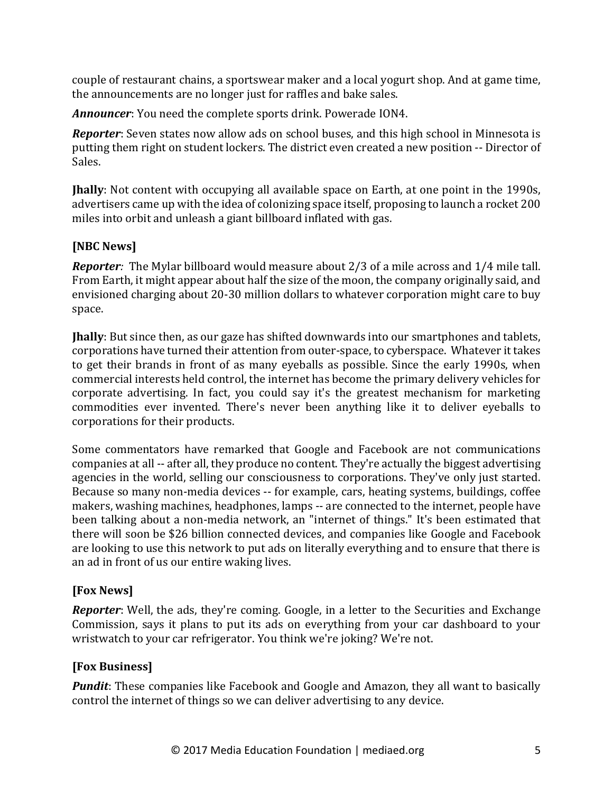couple of restaurant chains, a sportswear maker and a local yogurt shop. And at game time, the announcements are no longer just for raffles and bake sales.

**Announcer**: You need the complete sports drink. Powerade ION4.

*Reporter*: Seven states now allow ads on school buses, and this high school in Minnesota is putting them right on student lockers. The district even created a new position -- Director of Sales.

**Ihally**: Not content with occupying all available space on Earth, at one point in the 1990s, advertisers came up with the idea of colonizing space itself, proposing to launch a rocket 200 miles into orbit and unleash a giant billboard inflated with gas.

#### **[NBC News]**

**Reporter**: The Mylar billboard would measure about 2/3 of a mile across and 1/4 mile tall. From Earth, it might appear about half the size of the moon, the company originally said, and envisioned charging about 20-30 million dollars to whatever corporation might care to buy space.

**Jhally**: But since then, as our gaze has shifted downwards into our smartphones and tablets, corporations have turned their attention from outer-space, to cyberspace. Whatever it takes to get their brands in front of as many eyeballs as possible. Since the early 1990s, when commercial interests held control, the internet has become the primary delivery vehicles for corporate advertising. In fact, you could say it's the greatest mechanism for marketing commodities ever invented. There's never been anything like it to deliver eyeballs to corporations for their products.

Some commentators have remarked that Google and Facebook are not communications companies at all -- after all, they produce no content. They're actually the biggest advertising agencies in the world, selling our consciousness to corporations. They've only just started. Because so many non-media devices -- for example, cars, heating systems, buildings, coffee makers, washing machines, headphones, lamps -- are connected to the internet, people have been talking about a non-media network, an "internet of things." It's been estimated that there will soon be \$26 billion connected devices, and companies like Google and Facebook are looking to use this network to put ads on literally everything and to ensure that there is an ad in front of us our entire waking lives.

# **[Fox News]**

**Reporter**: Well, the ads, they're coming. Google, in a letter to the Securities and Exchange Commission, says it plans to put its ads on everything from your car dashboard to your wristwatch to your car refrigerator. You think we're joking? We're not.

#### **[Fox Business]**

*Pundit:* These companies like Facebook and Google and Amazon, they all want to basically control the internet of things so we can deliver advertising to any device.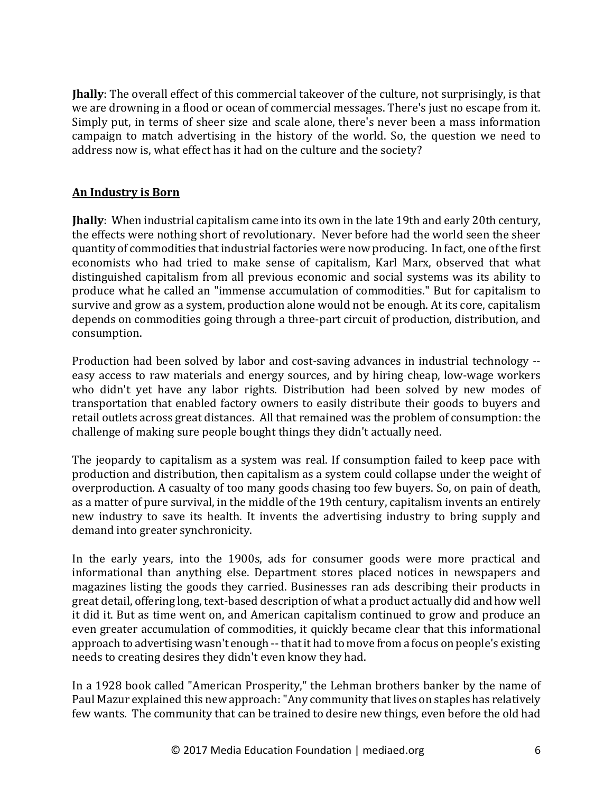**Jhally**: The overall effect of this commercial takeover of the culture, not surprisingly, is that we are drowning in a flood or ocean of commercial messages. There's just no escape from it. Simply put, in terms of sheer size and scale alone, there's never been a mass information campaign to match advertising in the history of the world. So, the question we need to address now is, what effect has it had on the culture and the society?

#### **An Industry is Born**

**Jhally**: When industrial capitalism came into its own in the late 19th and early 20th century, the effects were nothing short of revolutionary. Never before had the world seen the sheer quantity of commodities that industrial factories were now producing. In fact, one of the first economists who had tried to make sense of capitalism, Karl Marx, observed that what distinguished capitalism from all previous economic and social systems was its ability to produce what he called an "immense accumulation of commodities." But for capitalism to survive and grow as a system, production alone would not be enough. At its core, capitalism depends on commodities going through a three-part circuit of production, distribution, and consumption.

Production had been solved by labor and cost-saving advances in industrial technology -easy access to raw materials and energy sources, and by hiring cheap, low-wage workers who didn't yet have any labor rights. Distribution had been solved by new modes of transportation that enabled factory owners to easily distribute their goods to buyers and retail outlets across great distances. All that remained was the problem of consumption: the challenge of making sure people bought things they didn't actually need.

The jeopardy to capitalism as a system was real. If consumption failed to keep pace with production and distribution, then capitalism as a system could collapse under the weight of overproduction. A casualty of too many goods chasing too few buyers. So, on pain of death, as a matter of pure survival, in the middle of the 19th century, capitalism invents an entirely new industry to save its health. It invents the advertising industry to bring supply and demand into greater synchronicity.

In the early years, into the 1900s, ads for consumer goods were more practical and informational than anything else. Department stores placed notices in newspapers and magazines listing the goods they carried. Businesses ran ads describing their products in great detail, offering long, text-based description of what a product actually did and how well it did it. But as time went on, and American capitalism continued to grow and produce an even greater accumulation of commodities, it quickly became clear that this informational approach to advertising wasn't enough -- that it had to move from a focus on people's existing needs to creating desires they didn't even know they had.

In a 1928 book called "American Prosperity," the Lehman brothers banker by the name of Paul Mazur explained this new approach: "Any community that lives on staples has relatively few wants. The community that can be trained to desire new things, even before the old had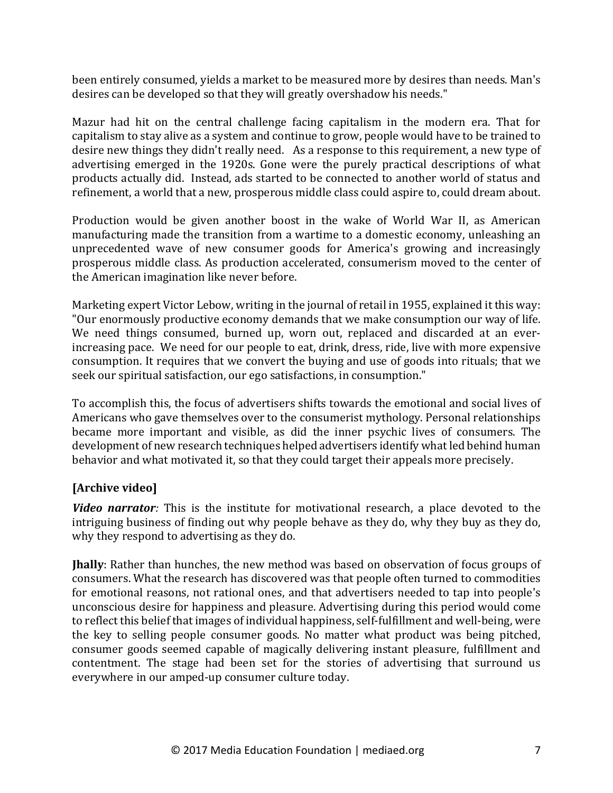been entirely consumed, yields a market to be measured more by desires than needs. Man's desires can be developed so that they will greatly overshadow his needs."

Mazur had hit on the central challenge facing capitalism in the modern era. That for capitalism to stay alive as a system and continue to grow, people would have to be trained to desire new things they didn't really need. As a response to this requirement, a new type of advertising emerged in the 1920s. Gone were the purely practical descriptions of what products actually did. Instead, ads started to be connected to another world of status and refinement, a world that a new, prosperous middle class could aspire to, could dream about.

Production would be given another boost in the wake of World War II, as American manufacturing made the transition from a wartime to a domestic economy, unleashing an unprecedented wave of new consumer goods for America's growing and increasingly prosperous middle class. As production accelerated, consumerism moved to the center of the American imagination like never before.

Marketing expert Victor Lebow, writing in the journal of retail in 1955, explained it this way: "Our enormously productive economy demands that we make consumption our way of life. We need things consumed, burned up, worn out, replaced and discarded at an everincreasing pace. We need for our people to eat, drink, dress, ride, live with more expensive consumption. It requires that we convert the buying and use of goods into rituals; that we seek our spiritual satisfaction, our ego satisfactions, in consumption."

To accomplish this, the focus of advertisers shifts towards the emotional and social lives of Americans who gave themselves over to the consumerist mythology. Personal relationships became more important and visible, as did the inner psychic lives of consumers. The development of new research techniques helped advertisers identify what led behind human behavior and what motivated it, so that they could target their appeals more precisely.

# [Archive video]

*Video narrator:* This is the institute for motivational research, a place devoted to the intriguing business of finding out why people behave as they do, why they buy as they do, why they respond to advertising as they do.

**Jhally**: Rather than hunches, the new method was based on observation of focus groups of consumers. What the research has discovered was that people often turned to commodities for emotional reasons, not rational ones, and that advertisers needed to tap into people's unconscious desire for happiness and pleasure. Advertising during this period would come to reflect this belief that images of individual happiness, self-fulfillment and well-being, were the key to selling people consumer goods. No matter what product was being pitched, consumer goods seemed capable of magically delivering instant pleasure, fulfillment and contentment. The stage had been set for the stories of advertising that surround us everywhere in our amped-up consumer culture today.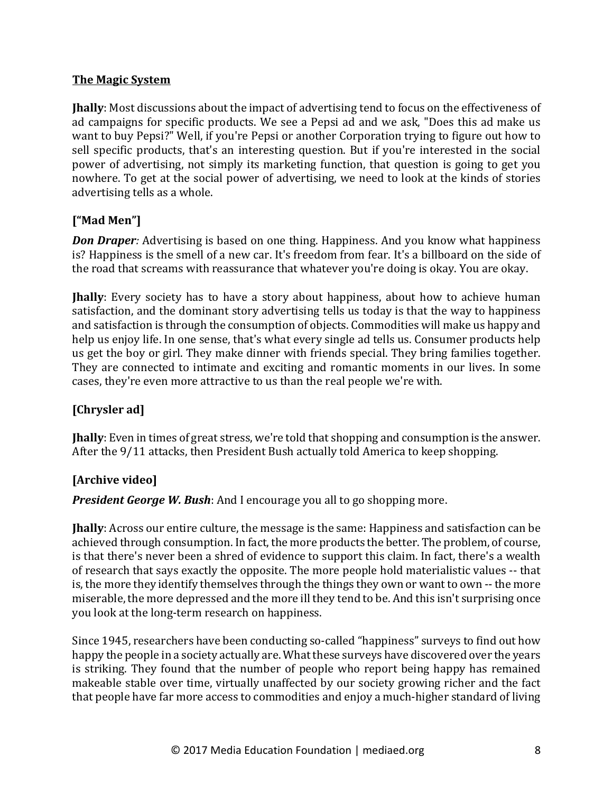#### **The Magic System**

**Jhally**: Most discussions about the impact of advertising tend to focus on the effectiveness of ad campaigns for specific products. We see a Pepsi ad and we ask, "Does this ad make us want to buy Pepsi?" Well, if you're Pepsi or another Corporation trying to figure out how to sell specific products, that's an interesting question. But if you're interested in the social power of advertising, not simply its marketing function, that question is going to get you nowhere. To get at the social power of advertising, we need to look at the kinds of stories advertising tells as a whole.

# **["Mad Men"]**

*Don Draper:* Advertising is based on one thing. Happiness. And you know what happiness is? Happiness is the smell of a new car. It's freedom from fear. It's a billboard on the side of the road that screams with reassurance that whatever you're doing is okay. You are okay.

**Jhally**: Every society has to have a story about happiness, about how to achieve human satisfaction, and the dominant story advertising tells us today is that the way to happiness and satisfaction is through the consumption of objects. Commodities will make us happy and help us enjoy life. In one sense, that's what every single ad tells us. Consumer products help us get the boy or girl. They make dinner with friends special. They bring families together. They are connected to intimate and exciting and romantic moments in our lives. In some cases, they're even more attractive to us than the real people we're with.

# **[Chrysler ad]**

**Jhally**: Even in times of great stress, we're told that shopping and consumption is the answer. After the 9/11 attacks, then President Bush actually told America to keep shopping.

#### **[Archive video]**

**President George W. Bush:** And I encourage you all to go shopping more.

**Jhally**: Across our entire culture, the message is the same: Happiness and satisfaction can be achieved through consumption. In fact, the more products the better. The problem, of course, is that there's never been a shred of evidence to support this claim. In fact, there's a wealth of research that says exactly the opposite. The more people hold materialistic values -- that is, the more they identify themselves through the things they own or want to own -- the more miserable, the more depressed and the more ill they tend to be. And this isn't surprising once you look at the long-term research on happiness.

Since 1945, researchers have been conducting so-called "happiness" surveys to find out how happy the people in a society actually are. What these surveys have discovered over the years is striking. They found that the number of people who report being happy has remained makeable stable over time, virtually unaffected by our society growing richer and the fact that people have far more access to commodities and enjoy a much-higher standard of living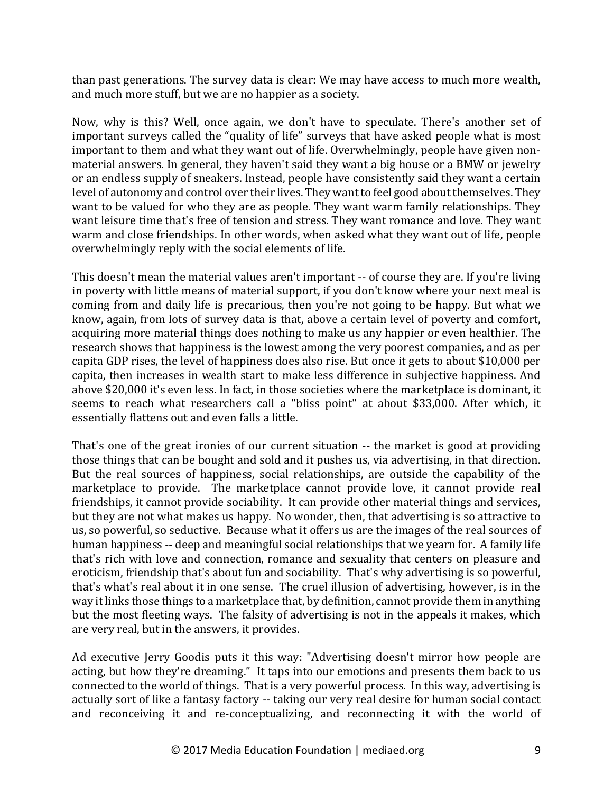than past generations. The survey data is clear: We may have access to much more wealth, and much more stuff, but we are no happier as a society.

Now, why is this? Well, once again, we don't have to speculate. There's another set of important surveys called the "quality of life" surveys that have asked people what is most important to them and what they want out of life. Overwhelmingly, people have given nonmaterial answers. In general, they haven't said they want a big house or a BMW or jewelry or an endless supply of sneakers. Instead, people have consistently said they want a certain level of autonomy and control over their lives. They want to feel good about themselves. They want to be valued for who they are as people. They want warm family relationships. They want leisure time that's free of tension and stress. They want romance and love. They want warm and close friendships. In other words, when asked what they want out of life, people overwhelmingly reply with the social elements of life.

This doesn't mean the material values aren't important -- of course they are. If you're living in poverty with little means of material support, if you don't know where your next meal is coming from and daily life is precarious, then you're not going to be happy. But what we know, again, from lots of survey data is that, above a certain level of poverty and comfort, acquiring more material things does nothing to make us any happier or even healthier. The research shows that happiness is the lowest among the very poorest companies, and as per capita GDP rises, the level of happiness does also rise. But once it gets to about \$10,000 per capita, then increases in wealth start to make less difference in subjective happiness. And above \$20,000 it's even less. In fact, in those societies where the marketplace is dominant, it seems to reach what researchers call a "bliss point" at about \$33,000. After which, it essentially flattens out and even falls a little.

That's one of the great ironies of our current situation -- the market is good at providing those things that can be bought and sold and it pushes us, via advertising, in that direction. But the real sources of happiness, social relationships, are outside the capability of the marketplace to provide. The marketplace cannot provide love, it cannot provide real friendships, it cannot provide sociability. It can provide other material things and services, but they are not what makes us happy. No wonder, then, that advertising is so attractive to us, so powerful, so seductive. Because what it offers us are the images of the real sources of human happiness -- deep and meaningful social relationships that we yearn for. A family life that's rich with love and connection, romance and sexuality that centers on pleasure and eroticism, friendship that's about fun and sociability. That's why advertising is so powerful, that's what's real about it in one sense. The cruel illusion of advertising, however, is in the way it links those things to a marketplace that, by definition, cannot provide them in anything but the most fleeting ways. The falsity of advertising is not in the appeals it makes, which are very real, but in the answers, it provides.

Ad executive Jerry Goodis puts it this way: "Advertising doesn't mirror how people are acting, but how they're dreaming." It taps into our emotions and presents them back to us connected to the world of things. That is a very powerful process. In this way, advertising is actually sort of like a fantasy factory -- taking our very real desire for human social contact and reconceiving it and re-conceptualizing, and reconnecting it with the world of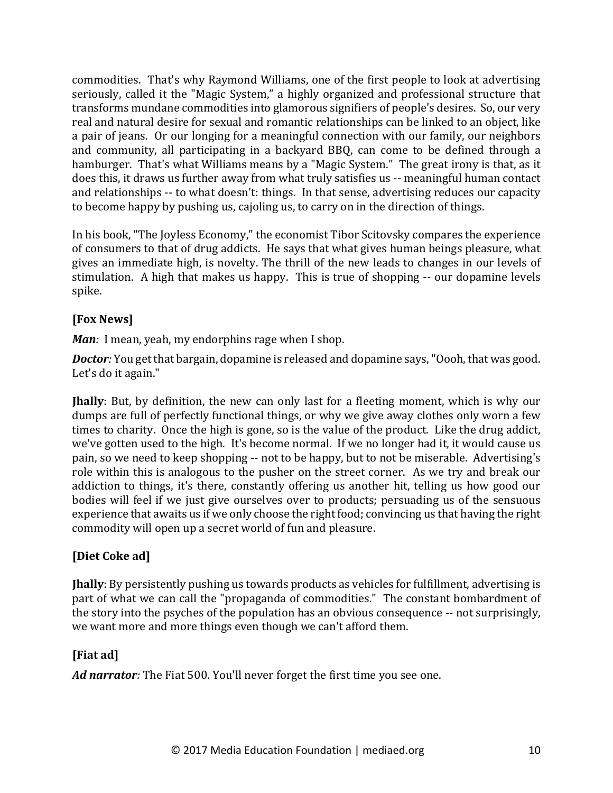commodities. That's why Raymond Williams, one of the first people to look at advertising seriously, called it the "Magic System," a highly organized and professional structure that transforms mundane commodities into glamorous signifiers of people's desires. So, our very real and natural desire for sexual and romantic relationships can be linked to an object, like a pair of jeans. Or our longing for a meaningful connection with our family, our neighbors and community, all participating in a backyard BBQ, can come to be defined through a hamburger. That's what Williams means by a "Magic System." The great irony is that, as it does this, it draws us further away from what truly satisfies us -- meaningful human contact and relationships -- to what doesn't: things. In that sense, advertising reduces our capacity to become happy by pushing us, cajoling us, to carry on in the direction of things.

In his book, "The Joyless Economy," the economist Tibor Scitovsky compares the experience of consumers to that of drug addicts. He says that what gives human beings pleasure, what gives an immediate high, is novelty. The thrill of the new leads to changes in our levels of stimulation. A high that makes us happy. This is true of shopping -- our dopamine levels spike.

# **[Fox News]**

*Man*: I mean, yeah, my endorphins rage when I shop.

**Doctor**: You get that bargain, dopamine is released and dopamine says, "Oooh, that was good. Let's do it again."

**Jhally**: But, by definition, the new can only last for a fleeting moment, which is why our dumps are full of perfectly functional things, or why we give away clothes only worn a few times to charity. Once the high is gone, so is the value of the product. Like the drug addict, we've gotten used to the high. It's become normal. If we no longer had it, it would cause us pain, so we need to keep shopping -- not to be happy, but to not be miserable. Advertising's role within this is analogous to the pusher on the street corner. As we try and break our addiction to things, it's there, constantly offering us another hit, telling us how good our bodies will feel if we just give ourselves over to products; persuading us of the sensuous experience that awaits us if we only choose the right food; convincing us that having the right commodity will open up a secret world of fun and pleasure.

# **[Diet Coke ad]**

*Hally*: By persistently pushing us towards products as vehicles for fulfillment, advertising is part of what we can call the "propaganda of commodities." The constant bombardment of the story into the psyches of the population has an obvious consequence -- not surprisingly, we want more and more things even though we can't afford them.

# **[Fiat ad]**

Ad narrator: The Fiat 500. You'll never forget the first time you see one.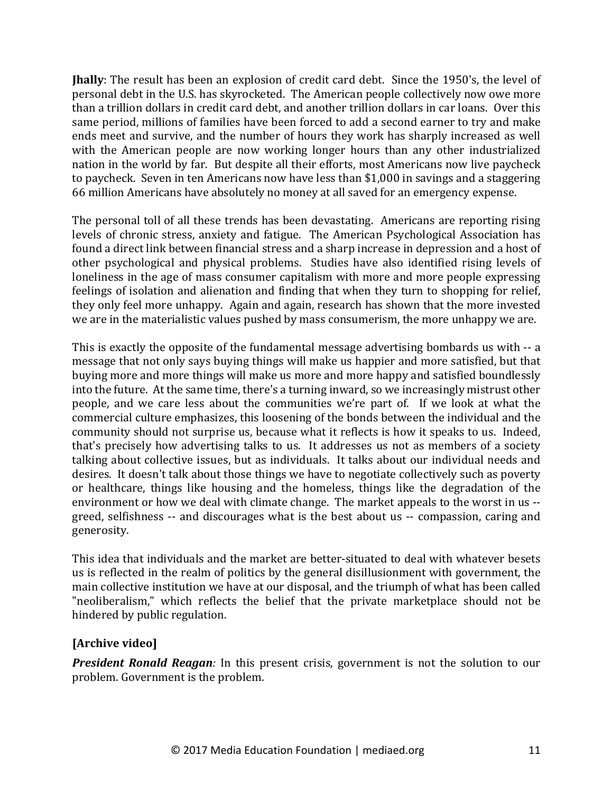**Jhally**: The result has been an explosion of credit card debt. Since the 1950's, the level of personal debt in the U.S. has skyrocketed. The American people collectively now owe more than a trillion dollars in credit card debt, and another trillion dollars in car loans. Over this same period, millions of families have been forced to add a second earner to try and make ends meet and survive, and the number of hours they work has sharply increased as well with the American people are now working longer hours than any other industrialized nation in the world by far. But despite all their efforts, most Americans now live paycheck to paycheck. Seven in ten Americans now have less than \$1,000 in savings and a staggering 66 million Americans have absolutely no money at all saved for an emergency expense.

The personal toll of all these trends has been devastating. Americans are reporting rising levels of chronic stress, anxiety and fatigue. The American Psychological Association has found a direct link between financial stress and a sharp increase in depression and a host of other psychological and physical problems. Studies have also identified rising levels of loneliness in the age of mass consumer capitalism with more and more people expressing feelings of isolation and alienation and finding that when they turn to shopping for relief, they only feel more unhappy. Again and again, research has shown that the more invested we are in the materialistic values pushed by mass consumerism, the more unhappy we are.

This is exactly the opposite of the fundamental message advertising bombards us with -- a message that not only says buying things will make us happier and more satisfied, but that buying more and more things will make us more and more happy and satisfied boundlessly into the future. At the same time, there's a turning inward, so we increasingly mistrust other people, and we care less about the communities we're part of. If we look at what the commercial culture emphasizes, this loosening of the bonds between the individual and the community should not surprise us, because what it reflects is how it speaks to us. Indeed, that's precisely how advertising talks to us. It addresses us not as members of a society talking about collective issues, but as individuals. It talks about our individual needs and desires. It doesn't talk about those things we have to negotiate collectively such as poverty or healthcare, things like housing and the homeless, things like the degradation of the environment or how we deal with climate change. The market appeals to the worst in us -greed, selfishness -- and discourages what is the best about us -- compassion, caring and generosity.

This idea that individuals and the market are better-situated to deal with whatever besets us is reflected in the realm of politics by the general disillusionment with government, the main collective institution we have at our disposal, and the triumph of what has been called "neoliberalism," which reflects the belief that the private marketplace should not be hindered by public regulation.

# [Archive video]

**President Ronald Reagan**: In this present crisis, government is not the solution to our problem. Government is the problem.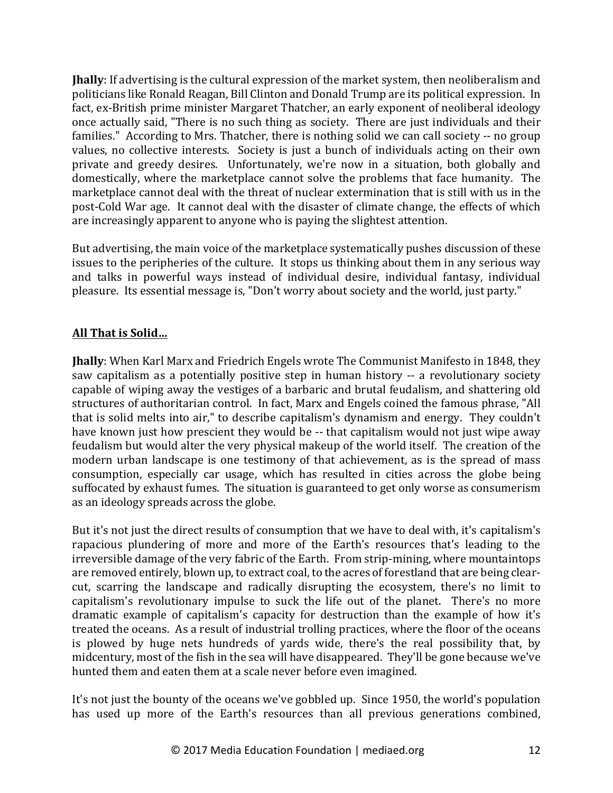**Jhally**: If advertising is the cultural expression of the market system, then neoliberalism and politicians like Ronald Reagan, Bill Clinton and Donald Trump are its political expression. In fact, ex-British prime minister Margaret Thatcher, an early exponent of neoliberal ideology once actually said, "There is no such thing as society. There are just individuals and their families." According to Mrs. Thatcher, there is nothing solid we can call society -- no group values, no collective interests. Society is just a bunch of individuals acting on their own private and greedy desires. Unfortunately, we're now in a situation, both globally and domestically, where the marketplace cannot solve the problems that face humanity. The marketplace cannot deal with the threat of nuclear extermination that is still with us in the post-Cold War age. It cannot deal with the disaster of climate change, the effects of which are increasingly apparent to anyone who is paying the slightest attention.

But advertising, the main voice of the marketplace systematically pushes discussion of these issues to the peripheries of the culture. It stops us thinking about them in any serious way and talks in powerful ways instead of individual desire, individual fantasy, individual pleasure. Its essential message is, "Don't worry about society and the world, just party."

# **All That is Solid…**

**Jhally**: When Karl Marx and Friedrich Engels wrote The Communist Manifesto in 1848, they saw capitalism as a potentially positive step in human history -- a revolutionary society capable of wiping away the vestiges of a barbaric and brutal feudalism, and shattering old structures of authoritarian control. In fact, Marx and Engels coined the famous phrase, "All that is solid melts into air," to describe capitalism's dynamism and energy. They couldn't have known just how prescient they would be -- that capitalism would not just wipe away feudalism but would alter the very physical makeup of the world itself. The creation of the modern urban landscape is one testimony of that achievement, as is the spread of mass consumption, especially car usage, which has resulted in cities across the globe being suffocated by exhaust fumes. The situation is guaranteed to get only worse as consumerism as an ideology spreads across the globe.

But it's not just the direct results of consumption that we have to deal with, it's capitalism's rapacious plundering of more and more of the Earth's resources that's leading to the irreversible damage of the very fabric of the Earth. From strip-mining, where mountaintops are removed entirely, blown up, to extract coal, to the acres of forestland that are being clearcut, scarring the landscape and radically disrupting the ecosystem, there's no limit to capitalism's revolutionary impulse to suck the life out of the planet. There's no more dramatic example of capitalism's capacity for destruction than the example of how it's treated the oceans. As a result of industrial trolling practices, where the floor of the oceans is plowed by huge nets hundreds of yards wide, there's the real possibility that, by midcentury, most of the fish in the sea will have disappeared. They'll be gone because we've hunted them and eaten them at a scale never before even imagined.

It's not just the bounty of the oceans we've gobbled up. Since 1950, the world's population has used up more of the Earth's resources than all previous generations combined,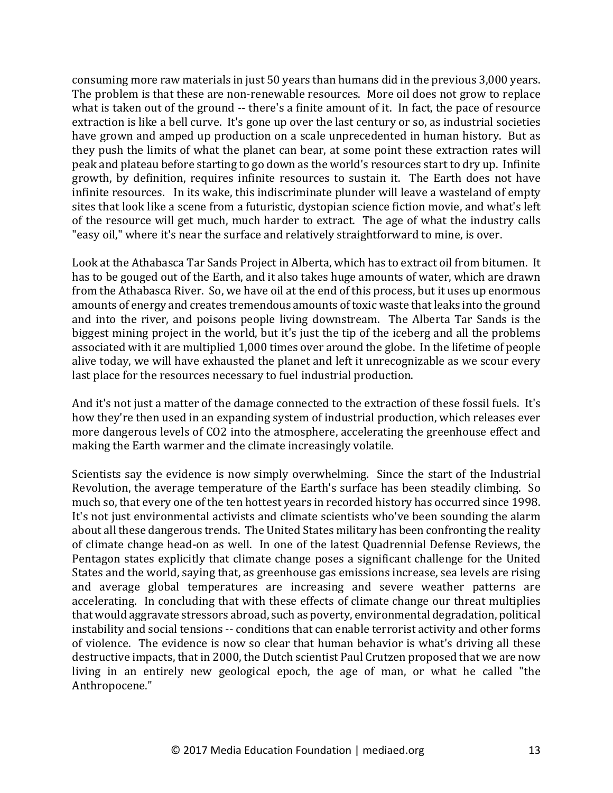consuming more raw materials in just 50 years than humans did in the previous 3,000 years. The problem is that these are non-renewable resources. More oil does not grow to replace what is taken out of the ground -- there's a finite amount of it. In fact, the pace of resource extraction is like a bell curve. It's gone up over the last century or so, as industrial societies have grown and amped up production on a scale unprecedented in human history. But as they push the limits of what the planet can bear, at some point these extraction rates will peak and plateau before starting to go down as the world's resources start to dry up. Infinite growth, by definition, requires infinite resources to sustain it. The Earth does not have infinite resources. In its wake, this indiscriminate plunder will leave a wasteland of empty sites that look like a scene from a futuristic, dystopian science fiction movie, and what's left of the resource will get much, much harder to extract. The age of what the industry calls "easy oil," where it's near the surface and relatively straightforward to mine, is over.

Look at the Athabasca Tar Sands Project in Alberta, which has to extract oil from bitumen. It has to be gouged out of the Earth, and it also takes huge amounts of water, which are drawn from the Athabasca River. So, we have oil at the end of this process, but it uses up enormous amounts of energy and creates tremendous amounts of toxic waste that leaks into the ground and into the river, and poisons people living downstream. The Alberta Tar Sands is the biggest mining project in the world, but it's just the tip of the iceberg and all the problems associated with it are multiplied 1,000 times over around the globe. In the lifetime of people alive today, we will have exhausted the planet and left it unrecognizable as we scour every last place for the resources necessary to fuel industrial production.

And it's not just a matter of the damage connected to the extraction of these fossil fuels. It's how they're then used in an expanding system of industrial production, which releases ever more dangerous levels of CO2 into the atmosphere, accelerating the greenhouse effect and making the Earth warmer and the climate increasingly volatile.

Scientists say the evidence is now simply overwhelming. Since the start of the Industrial Revolution, the average temperature of the Earth's surface has been steadily climbing. So much so, that every one of the ten hottest years in recorded history has occurred since 1998. It's not just environmental activists and climate scientists who've been sounding the alarm about all these dangerous trends. The United States military has been confronting the reality of climate change head-on as well. In one of the latest Quadrennial Defense Reviews, the Pentagon states explicitly that climate change poses a significant challenge for the United States and the world, saying that, as greenhouse gas emissions increase, sea levels are rising and average global temperatures are increasing and severe weather patterns are accelerating. In concluding that with these effects of climate change our threat multiplies that would aggravate stressors abroad, such as poverty, environmental degradation, political instability and social tensions -- conditions that can enable terrorist activity and other forms of violence. The evidence is now so clear that human behavior is what's driving all these destructive impacts, that in 2000, the Dutch scientist Paul Crutzen proposed that we are now living in an entirely new geological epoch, the age of man, or what he called "the Anthropocene."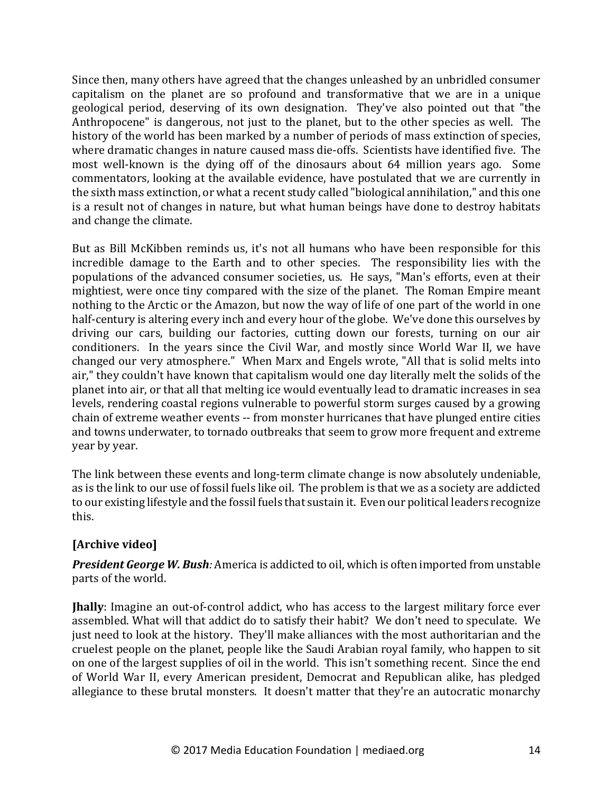Since then, many others have agreed that the changes unleashed by an unbridled consumer capitalism on the planet are so profound and transformative that we are in a unique geological period, deserving of its own designation. They've also pointed out that "the Anthropocene" is dangerous, not just to the planet, but to the other species as well. The history of the world has been marked by a number of periods of mass extinction of species, where dramatic changes in nature caused mass die-offs. Scientists have identified five. The most well-known is the dying off of the dinosaurs about 64 million years ago. Some commentators, looking at the available evidence, have postulated that we are currently in the sixth mass extinction, or what a recent study called "biological annihilation," and this one is a result not of changes in nature, but what human beings have done to destroy habitats and change the climate.

But as Bill McKibben reminds us, it's not all humans who have been responsible for this incredible damage to the Earth and to other species. The responsibility lies with the populations of the advanced consumer societies, us. He says, "Man's efforts, even at their mightiest, were once tiny compared with the size of the planet. The Roman Empire meant nothing to the Arctic or the Amazon, but now the way of life of one part of the world in one half-century is altering every inch and every hour of the globe. We've done this ourselves by driving our cars, building our factories, cutting down our forests, turning on our air conditioners. In the years since the Civil War, and mostly since World War II, we have changed our very atmosphere." When Marx and Engels wrote, "All that is solid melts into air," they couldn't have known that capitalism would one day literally melt the solids of the planet into air, or that all that melting ice would eventually lead to dramatic increases in sea levels, rendering coastal regions vulnerable to powerful storm surges caused by a growing chain of extreme weather events -- from monster hurricanes that have plunged entire cities and towns underwater, to tornado outbreaks that seem to grow more frequent and extreme year by year.

The link between these events and long-term climate change is now absolutely undeniable, as is the link to our use of fossil fuels like oil. The problem is that we as a society are addicted to our existing lifestyle and the fossil fuels that sustain it. Even our political leaders recognize this. 

# [Archive video]

**President George W. Bush**: America is addicted to oil, which is often imported from unstable parts of the world.

**Jhally**: Imagine an out-of-control addict, who has access to the largest military force ever assembled. What will that addict do to satisfy their habit? We don't need to speculate. We just need to look at the history. They'll make alliances with the most authoritarian and the cruelest people on the planet, people like the Saudi Arabian royal family, who happen to sit on one of the largest supplies of oil in the world. This isn't something recent. Since the end of World War II, every American president, Democrat and Republican alike, has pledged allegiance to these brutal monsters. It doesn't matter that they're an autocratic monarchy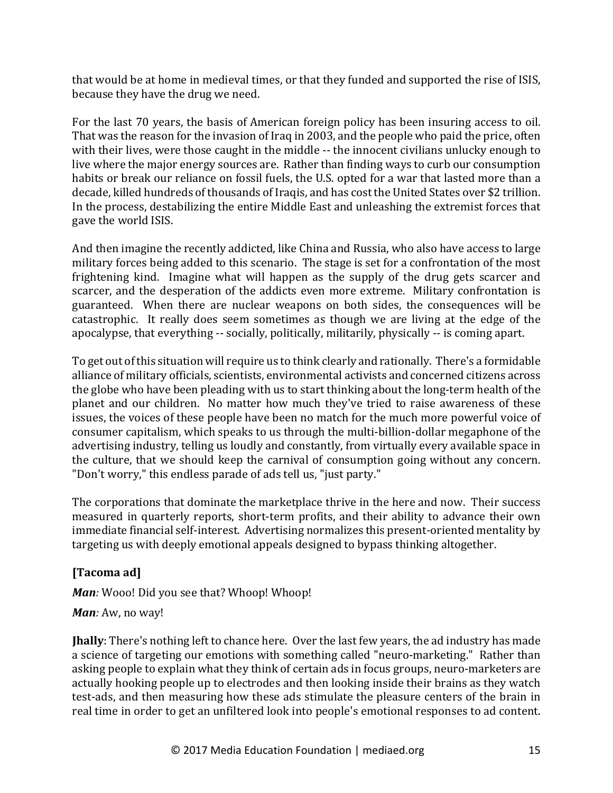that would be at home in medieval times, or that they funded and supported the rise of ISIS, because they have the drug we need.

For the last 70 years, the basis of American foreign policy has been insuring access to oil. That was the reason for the invasion of Iraq in 2003, and the people who paid the price, often with their lives, were those caught in the middle -- the innocent civilians unlucky enough to live where the major energy sources are. Rather than finding ways to curb our consumption habits or break our reliance on fossil fuels, the U.S. opted for a war that lasted more than a decade, killed hundreds of thousands of Iraqis, and has cost the United States over \$2 trillion. In the process, destabilizing the entire Middle East and unleashing the extremist forces that gave the world ISIS.

And then imagine the recently addicted, like China and Russia, who also have access to large military forces being added to this scenario. The stage is set for a confrontation of the most frightening kind. Imagine what will happen as the supply of the drug gets scarcer and scarcer, and the desperation of the addicts even more extreme. Military confrontation is guaranteed. When there are nuclear weapons on both sides, the consequences will be catastrophic. It really does seem sometimes as though we are living at the edge of the apocalypse, that everything -- socially, politically, militarily, physically -- is coming apart.

To get out of this situation will require us to think clearly and rationally. There's a formidable alliance of military officials, scientists, environmental activists and concerned citizens across the globe who have been pleading with us to start thinking about the long-term health of the planet and our children. No matter how much they've tried to raise awareness of these issues, the voices of these people have been no match for the much more powerful voice of consumer capitalism, which speaks to us through the multi-billion-dollar megaphone of the advertising industry, telling us loudly and constantly, from virtually every available space in the culture, that we should keep the carnival of consumption going without any concern. "Don't worry," this endless parade of ads tell us, "just party."

The corporations that dominate the marketplace thrive in the here and now. Their success measured in quarterly reports, short-term profits, and their ability to advance their own immediate financial self-interest. Advertising normalizes this present-oriented mentality by targeting us with deeply emotional appeals designed to bypass thinking altogether.

# **[Tacoma ad]**

*Man:* Wooo! Did you see that? Whoop! Whoop!

# *Man:* Aw, no way!

**Jhally**: There's nothing left to chance here. Over the last few years, the ad industry has made a science of targeting our emotions with something called "neuro-marketing." Rather than asking people to explain what they think of certain ads in focus groups, neuro-marketers are actually hooking people up to electrodes and then looking inside their brains as they watch test-ads, and then measuring how these ads stimulate the pleasure centers of the brain in real time in order to get an unfiltered look into people's emotional responses to ad content.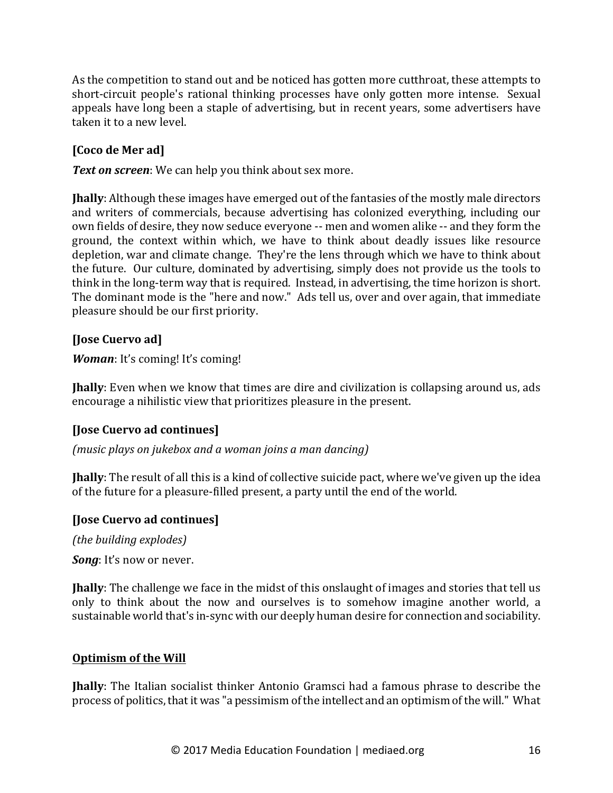As the competition to stand out and be noticed has gotten more cutthroat, these attempts to short-circuit people's rational thinking processes have only gotten more intense. Sexual appeals have long been a staple of advertising, but in recent years, some advertisers have taken it to a new level.

# **[Coco de Mer ad]**

**Text on screen**: We can help you think about sex more.

**Jhally**: Although these images have emerged out of the fantasies of the mostly male directors and writers of commercials, because advertising has colonized everything, including our own fields of desire, they now seduce everyone -- men and women alike -- and they form the ground, the context within which, we have to think about deadly issues like resource depletion, war and climate change. They're the lens through which we have to think about the future. Our culture, dominated by advertising, simply does not provide us the tools to think in the long-term way that is required. Instead, in advertising, the time horizon is short. The dominant mode is the "here and now." Ads tell us, over and over again, that immediate pleasure should be our first priority.

# **[Jose Cuervo ad]**

*Woman*: It's coming! It's coming!

**Jhally**: Even when we know that times are dire and civilization is collapsing around us, ads encourage a nihilistic view that prioritizes pleasure in the present.

# **[Jose Cuervo ad continues]**

*(music plays on jukebox and a woman joins a man dancing)*

**Jhally**: The result of all this is a kind of collective suicide pact, where we've given up the idea of the future for a pleasure-filled present, a party until the end of the world.

# **[Jose Cuervo ad continues]**

*(the building explodes)* 

*Song*: It's now or never.

**Jhally**: The challenge we face in the midst of this onslaught of images and stories that tell us only to think about the now and ourselves is to somehow imagine another world, a sustainable world that's in-sync with our deeply human desire for connection and sociability.

# **Optimism of the Will**

**Ihally**: The Italian socialist thinker Antonio Gramsci had a famous phrase to describe the process of politics, that it was "a pessimism of the intellect and an optimism of the will." What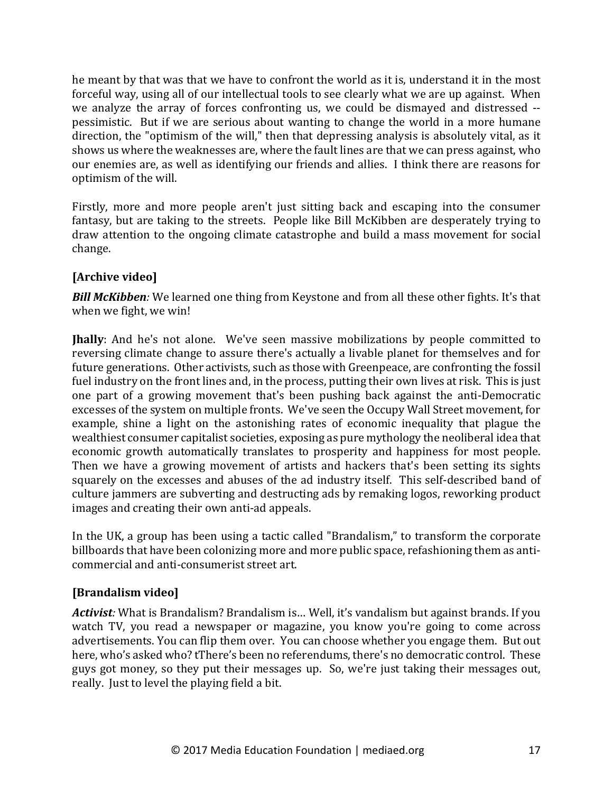he meant by that was that we have to confront the world as it is, understand it in the most forceful way, using all of our intellectual tools to see clearly what we are up against. When we analyze the array of forces confronting us, we could be dismayed and distressed -pessimistic. But if we are serious about wanting to change the world in a more humane direction, the "optimism of the will," then that depressing analysis is absolutely vital, as it shows us where the weaknesses are, where the fault lines are that we can press against, who our enemies are, as well as identifying our friends and allies. I think there are reasons for optimism of the will.

Firstly, more and more people aren't just sitting back and escaping into the consumer fantasy, but are taking to the streets. People like Bill McKibben are desperately trying to draw attention to the ongoing climate catastrophe and build a mass movement for social change.

# [Archive video]

**Bill McKibben**: We learned one thing from Keystone and from all these other fights. It's that when we fight, we win!

**Jhally**: And he's not alone. We've seen massive mobilizations by people committed to reversing climate change to assure there's actually a livable planet for themselves and for future generations. Other activists, such as those with Greenpeace, are confronting the fossil fuel industry on the front lines and, in the process, putting their own lives at risk. This is just one part of a growing movement that's been pushing back against the anti-Democratic excesses of the system on multiple fronts. We've seen the Occupy Wall Street movement, for example, shine a light on the astonishing rates of economic inequality that plague the wealthiest consumer capitalist societies, exposing as pure mythology the neoliberal idea that economic growth automatically translates to prosperity and happiness for most people. Then we have a growing movement of artists and hackers that's been setting its sights squarely on the excesses and abuses of the ad industry itself. This self-described band of culture jammers are subverting and destructing ads by remaking logos, reworking product images and creating their own anti-ad appeals.

In the UK, a group has been using a tactic called "Brandalism," to transform the corporate billboards that have been colonizing more and more public space, refashioning them as anticommercial and anti-consumerist street art.

# **[Brandalism video]**

Activist: What is Brandalism? Brandalism is... Well, it's vandalism but against brands. If you watch TV, you read a newspaper or magazine, you know you're going to come across advertisements. You can flip them over. You can choose whether you engage them. But out here, who's asked who? tThere's been no referendums, there's no democratic control. These guys got money, so they put their messages up. So, we're just taking their messages out, really. Just to level the playing field a bit.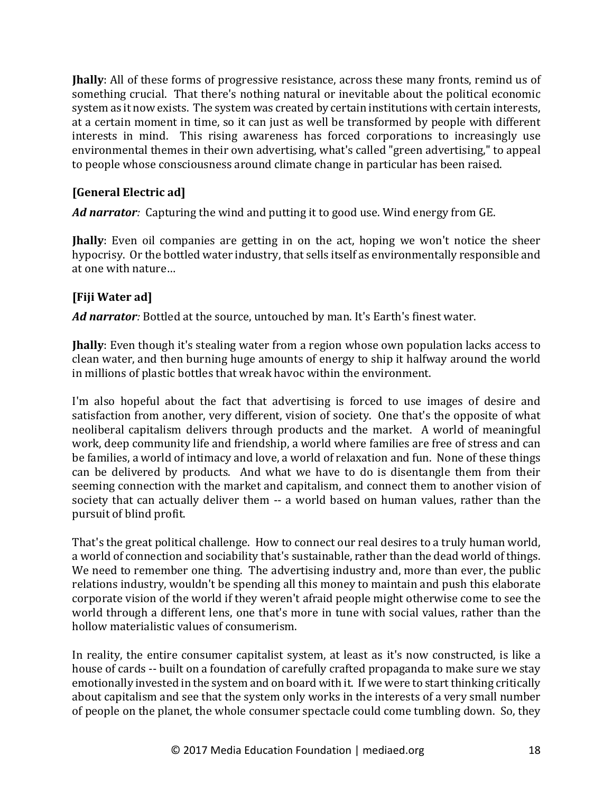**Jhally**: All of these forms of progressive resistance, across these many fronts, remind us of something crucial. That there's nothing natural or inevitable about the political economic system as it now exists. The system was created by certain institutions with certain interests, at a certain moment in time, so it can just as well be transformed by people with different interests in mind. This rising awareness has forced corporations to increasingly use environmental themes in their own advertising, what's called "green advertising," to appeal to people whose consciousness around climate change in particular has been raised.

# **[General Electric ad]**

Ad narrator: Capturing the wind and putting it to good use. Wind energy from GE.

**Jhally**: Even oil companies are getting in on the act, hoping we won't notice the sheer hypocrisy. Or the bottled water industry, that sells itself as environmentally responsible and at one with nature...

# **[Fiji Water ad]**

Ad narrator: Bottled at the source, untouched by man. It's Earth's finest water.

**Jhally**: Even though it's stealing water from a region whose own population lacks access to clean water, and then burning huge amounts of energy to ship it halfway around the world in millions of plastic bottles that wreak havoc within the environment.

I'm also hopeful about the fact that advertising is forced to use images of desire and satisfaction from another, very different, vision of society. One that's the opposite of what neoliberal capitalism delivers through products and the market. A world of meaningful work, deep community life and friendship, a world where families are free of stress and can be families, a world of intimacy and love, a world of relaxation and fun. None of these things can be delivered by products. And what we have to do is disentangle them from their seeming connection with the market and capitalism, and connect them to another vision of society that can actually deliver them -- a world based on human values, rather than the pursuit of blind profit.

That's the great political challenge. How to connect our real desires to a truly human world, a world of connection and sociability that's sustainable, rather than the dead world of things. We need to remember one thing. The advertising industry and, more than ever, the public relations industry, wouldn't be spending all this money to maintain and push this elaborate corporate vision of the world if they weren't afraid people might otherwise come to see the world through a different lens, one that's more in tune with social values, rather than the hollow materialistic values of consumerism.

In reality, the entire consumer capitalist system, at least as it's now constructed, is like a house of cards -- built on a foundation of carefully crafted propaganda to make sure we stay emotionally invested in the system and on board with it. If we were to start thinking critically about capitalism and see that the system only works in the interests of a very small number of people on the planet, the whole consumer spectacle could come tumbling down. So, they